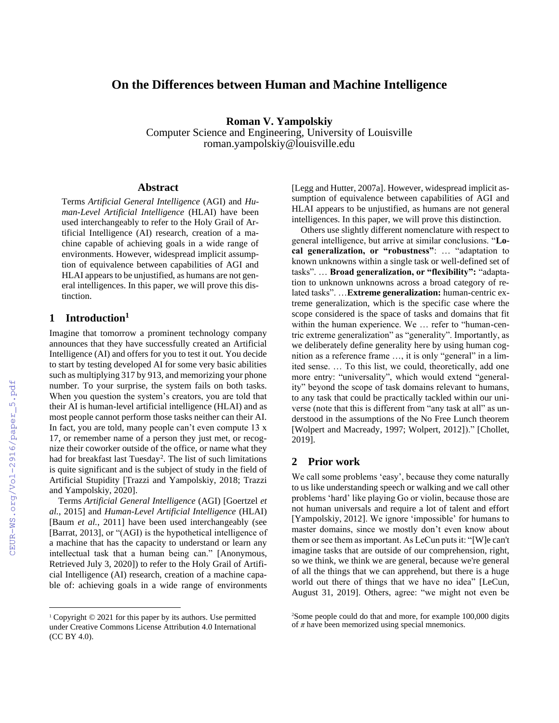# **On the Differences between Human and Machine Intelligence**

**Roman V. Yampolskiy**

Computer Science and Engineering, University of Louisville roman.yampolskiy@louisville.edu

#### **Abstract**

Terms *Artificial General Intelligence* (AGI) and *Human-Level Artificial Intelligence* (HLAI) have been used interchangeably to refer to the Holy Grail of Artificial Intelligence (AI) research, creation of a machine capable of achieving goals in a wide range of environments. However, widespread implicit assumption of equivalence between capabilities of AGI and HLAI appears to be unjustified, as humans are not general intelligences. In this paper, we will prove this distinction.

## **1 Introduction<sup>1</sup>**

Imagine that tomorrow a prominent technology company announces that they have successfully created an Artificial Intelligence (AI) and offers for you to test it out. You decide to start by testing developed AI for some very basic abilities such as multiplying 317 by 913, and memorizing your phone number. To your surprise, the system fails on both tasks. When you question the system's creators, you are told that their AI is human-level artificial intelligence (HLAI) and as most people cannot perform those tasks neither can their AI. In fact, you are told, many people can't even compute 13 x 17, or remember name of a person they just met, or recognize their coworker outside of the office, or name what they had for breakfast last Tuesday<sup>2</sup>. The list of such limitations is quite significant and is the subject of study in the field of Artificial Stupidity [Trazzi and Yampolskiy, 2018; Trazzi and Yampolskiy, 2020].

Terms *Artificial General Intelligence* (AGI) [Goertzel *et al.*, 2015] and *Human-Level Artificial Intelligence* (HLAI) [Baum *et al.*, 2011] have been used interchangeably (see [Barrat, 2013], or "(AGI) is the hypothetical intelligence of a machine that has the capacity to understand or learn any intellectual task that a human being can." [Anonymous, Retrieved July 3, 2020]) to refer to the Holy Grail of Artificial Intelligence (AI) research, creation of a machine capable of: achieving goals in a wide range of environments

[Legg and Hutter, 2007a]. However, widespread implicit assumption of equivalence between capabilities of AGI and HLAI appears to be unjustified, as humans are not general intelligences. In this paper, we will prove this distinction.

Others use slightly different nomenclature with respect to general intelligence, but arrive at similar conclusions. "**Local generalization, or "robustness"**: … "adaptation to known unknowns within a single task or well-defined set of tasks". … **Broad generalization, or "flexibility":** "adaptation to unknown unknowns across a broad category of related tasks". …**Extreme generalization:** human-centric extreme generalization, which is the specific case where the scope considered is the space of tasks and domains that fit within the human experience. We … refer to "human-centric extreme generalization" as "generality". Importantly, as we deliberately define generality here by using human cognition as a reference frame …, it is only "general" in a limited sense. … To this list, we could, theoretically, add one more entry: "universality", which would extend "generality" beyond the scope of task domains relevant to humans, to any task that could be practically tackled within our universe (note that this is different from "any task at all" as understood in the assumptions of the No Free Lunch theorem [Wolpert and Macready, 1997; Wolpert, 2012])." [Chollet, 2019].

#### **2 Prior work**

We call some problems 'easy', because they come naturally to us like understanding speech or walking and we call other problems 'hard' like playing Go or violin, because those are not human universals and require a lot of talent and effort [Yampolskiy, 2012]. We ignore 'impossible' for humans to master domains, since we mostly don't even know about them or see them as important. As LeCun puts it: "[W]e can't imagine tasks that are outside of our comprehension, right, so we think, we think we are general, because we're general of all the things that we can apprehend, but there is a huge world out there of things that we have no idea" [LeCun, August 31, 2019]. Others, agree: "we might not even be

<sup>1</sup> Copyright © 2021 for this paper by its authors. Use permitted under Creative Commons License Attribution 4.0 International (CC BY 4.0).

<sup>2</sup>Some people could do that and more, for example 100,000 digits of  $\pi$  have been memorized using special mnemonics.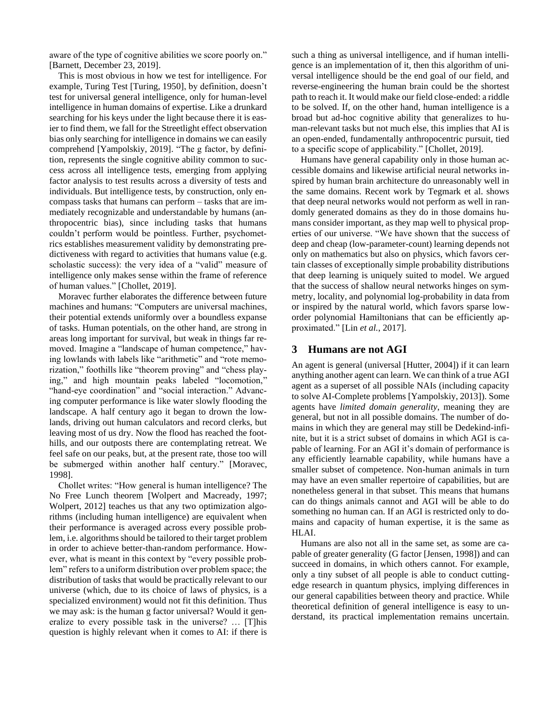aware of the type of cognitive abilities we score poorly on." [Barnett, December 23, 2019].

This is most obvious in how we test for intelligence. For example, Turing Test [Turing, 1950], by definition, doesn't test for universal general intelligence, only for human-level intelligence in human domains of expertise. Like a drunkard searching for his keys under the light because there it is easier to find them, we fall for the Streetlight effect observation bias only searching for intelligence in domains we can easily comprehend [Yampolskiy, 2019]. "The g factor, by definition, represents the single cognitive ability common to success across all intelligence tests, emerging from applying factor analysis to test results across a diversity of tests and individuals. But intelligence tests, by construction, only encompass tasks that humans can perform – tasks that are immediately recognizable and understandable by humans (anthropocentric bias), since including tasks that humans couldn't perform would be pointless. Further, psychometrics establishes measurement validity by demonstrating predictiveness with regard to activities that humans value (e.g. scholastic success): the very idea of a "valid" measure of intelligence only makes sense within the frame of reference of human values." [Chollet, 2019].

Moravec further elaborates the difference between future machines and humans: "Computers are universal machines, their potential extends uniformly over a boundless expanse of tasks. Human potentials, on the other hand, are strong in areas long important for survival, but weak in things far removed. Imagine a "landscape of human competence," having lowlands with labels like "arithmetic" and "rote memorization," foothills like "theorem proving" and "chess playing," and high mountain peaks labeled "locomotion," "hand-eye coordination" and "social interaction." Advancing computer performance is like water slowly flooding the landscape. A half century ago it began to drown the lowlands, driving out human calculators and record clerks, but leaving most of us dry. Now the flood has reached the foothills, and our outposts there are contemplating retreat. We feel safe on our peaks, but, at the present rate, those too will be submerged within another half century." [Moravec, 1998].

Chollet writes: "How general is human intelligence? The No Free Lunch theorem [Wolpert and Macready, 1997; Wolpert, 2012] teaches us that any two optimization algorithms (including human intelligence) are equivalent when their performance is averaged across every possible problem, i.e. algorithms should be tailored to their target problem in order to achieve better-than-random performance. However, what is meant in this context by "every possible problem" refers to a uniform distribution over problem space; the distribution of tasks that would be practically relevant to our universe (which, due to its choice of laws of physics, is a specialized environment) would not fit this definition. Thus we may ask: is the human g factor universal? Would it generalize to every possible task in the universe? … [T]his question is highly relevant when it comes to AI: if there is

such a thing as universal intelligence, and if human intelligence is an implementation of it, then this algorithm of universal intelligence should be the end goal of our field, and reverse-engineering the human brain could be the shortest path to reach it. It would make our field close-ended: a riddle to be solved. If, on the other hand, human intelligence is a broad but ad-hoc cognitive ability that generalizes to human-relevant tasks but not much else, this implies that AI is an open-ended, fundamentally anthropocentric pursuit, tied to a specific scope of applicability." [Chollet, 2019].

Humans have general capability only in those human accessible domains and likewise artificial neural networks inspired by human brain architecture do unreasonably well in the same domains. Recent work by Tegmark et al. shows that deep neural networks would not perform as well in randomly generated domains as they do in those domains humans consider important, as they map well to physical properties of our universe. "We have shown that the success of deep and cheap (low-parameter-count) learning depends not only on mathematics but also on physics, which favors certain classes of exceptionally simple probability distributions that deep learning is uniquely suited to model. We argued that the success of shallow neural networks hinges on symmetry, locality, and polynomial log-probability in data from or inspired by the natural world, which favors sparse loworder polynomial Hamiltonians that can be efficiently approximated." [Lin *et al.*, 2017].

#### **3 Humans are not AGI**

An agent is general (universal [Hutter, 2004]) if it can learn anything another agent can learn. We can think of a true AGI agent as a superset of all possible NAIs (including capacity to solve AI-Complete problems [Yampolskiy, 2013]). Some agents have *limited domain generality*, meaning they are general, but not in all possible domains. The number of domains in which they are general may still be Dedekind-infinite, but it is a strict subset of domains in which AGI is capable of learning. For an AGI it's domain of performance is any efficiently learnable capability, while humans have a smaller subset of competence. Non-human animals in turn may have an even smaller repertoire of capabilities, but are nonetheless general in that subset. This means that humans can do things animals cannot and AGI will be able to do something no human can. If an AGI is restricted only to domains and capacity of human expertise, it is the same as HLAI.

Humans are also not all in the same set, as some are capable of greater generality (G factor [Jensen, 1998]) and can succeed in domains, in which others cannot. For example, only a tiny subset of all people is able to conduct cuttingedge research in quantum physics, implying differences in our general capabilities between theory and practice. While theoretical definition of general intelligence is easy to understand, its practical implementation remains uncertain.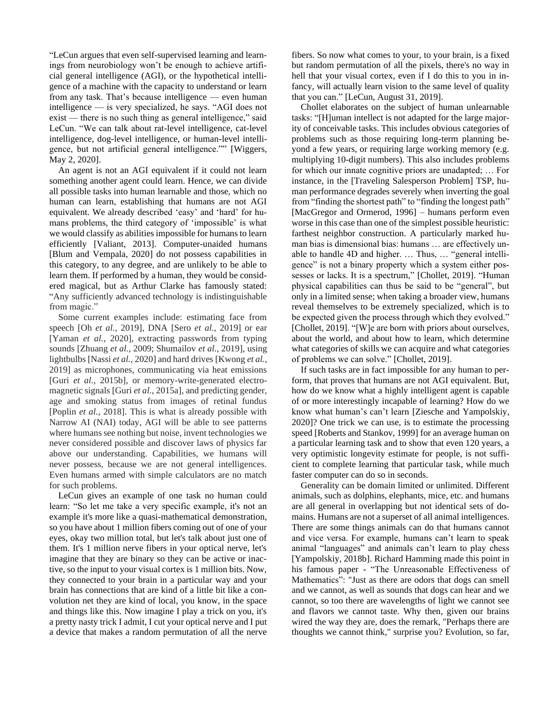"LeCun argues that even self-supervised learning and learnings from neurobiology won't be enough to achieve artificial general intelligence (AGI), or the hypothetical intelligence of a machine with the capacity to understand or learn from any task. That's because intelligence — even human intelligence — is very specialized, he says. "AGI does not exist — there is no such thing as general intelligence," said LeCun. "We can talk about rat-level intelligence, cat-level intelligence, dog-level intelligence, or human-level intelligence, but not artificial general intelligence."" [Wiggers, May 2, 2020].

An agent is not an AGI equivalent if it could not learn something another agent could learn. Hence, we can divide all possible tasks into human learnable and those, which no human can learn, establishing that humans are not AGI equivalent. We already described 'easy' and 'hard' for humans problems, the third category of 'impossible' is what we would classify as abilities impossible for humans to learn efficiently [Valiant, 2013]. Computer-unaided humans [Blum and Vempala, 2020] do not possess capabilities in this category, to any degree, and are unlikely to be able to learn them. If performed by a human, they would be considered magical, but as Arthur Clarke has famously stated: "Any sufficiently advanced technology is indistinguishable from magic."

Some current examples include: estimating face from speech [Oh *et al.*, 2019], DNA [Sero *et al.*, 2019] or ear [Yaman *et al.*, 2020], extracting passwords from typing sounds [Zhuang *et al.*, 2009; Shumailov *et al.*, 2019], using lightbulbs [Nassi *et al.*, 2020] and hard drives [Kwong *et al.*, 2019] as microphones, communicating via heat emissions [Guri *et al.*, 2015b], or memory-write-generated electromagnetic signals [Guri *et al.*, 2015a], and predicting gender, age and smoking status from images of retinal fundus [Poplin *et al.*, 2018]. This is what is already possible with Narrow AI (NAI) today, AGI will be able to see patterns where humans see nothing but noise, invent technologies we never considered possible and discover laws of physics far above our understanding. Capabilities, we humans will never possess, because we are not general intelligences. Even humans armed with simple calculators are no match for such problems.

LeCun gives an example of one task no human could learn: "So let me take a very specific example, it's not an example it's more like a quasi-mathematical demonstration, so you have about 1 million fibers coming out of one of your eyes, okay two million total, but let's talk about just one of them. It's 1 million nerve fibers in your optical nerve, let's imagine that they are binary so they can be active or inactive, so the input to your visual cortex is 1 million bits. Now, they connected to your brain in a particular way and your brain has connections that are kind of a little bit like a convolution net they are kind of local, you know, in the space and things like this. Now imagine I play a trick on you, it's a pretty nasty trick I admit, I cut your optical nerve and I put a device that makes a random permutation of all the nerve

fibers. So now what comes to your, to your brain, is a fixed but random permutation of all the pixels, there's no way in hell that your visual cortex, even if I do this to you in infancy, will actually learn vision to the same level of quality that you can." [LeCun, August 31, 2019].

Chollet elaborates on the subject of human unlearnable tasks: "[H]uman intellect is not adapted for the large majority of conceivable tasks. This includes obvious categories of problems such as those requiring long-term planning beyond a few years, or requiring large working memory (e.g. multiplying 10-digit numbers). This also includes problems for which our innate cognitive priors are unadapted; … For instance, in the [Traveling Salesperson Problem] TSP, human performance degrades severely when inverting the goal from "finding the shortest path" to "finding the longest path" [MacGregor and Ormerod, 1996] – humans perform even worse in this case than one of the simplest possible heuristic: farthest neighbor construction. A particularly marked human bias is dimensional bias: humans … are effectively unable to handle 4D and higher. … Thus, … "general intelligence" is not a binary property which a system either possesses or lacks. It is a spectrum," [Chollet, 2019]. "Human physical capabilities can thus be said to be "general", but only in a limited sense; when taking a broader view, humans reveal themselves to be extremely specialized, which is to be expected given the process through which they evolved." [Chollet, 2019]. "[W]e are born with priors about ourselves, about the world, and about how to learn, which determine what categories of skills we can acquire and what categories of problems we can solve." [Chollet, 2019].

If such tasks are in fact impossible for any human to perform, that proves that humans are not AGI equivalent. But, how do we know what a highly intelligent agent is capable of or more interestingly incapable of learning? How do we know what human's can't learn [Ziesche and Yampolskiy, 2020]? One trick we can use, is to estimate the processing speed [Roberts and Stankov, 1999] for an average human on a particular learning task and to show that even 120 years, a very optimistic longevity estimate for people, is not sufficient to complete learning that particular task, while much faster computer can do so in seconds.

Generality can be domain limited or unlimited. Different animals, such as dolphins, elephants, mice, etc. and humans are all general in overlapping but not identical sets of domains. Humans are not a superset of all animal intelligences. There are some things animals can do that humans cannot and vice versa. For example, humans can't learn to speak animal "languages" and animals can't learn to play chess [Yampolskiy, 2018b]. Richard Hamming made this point in his famous paper - "The Unreasonable Effectiveness of Mathematics": "Just as there are odors that dogs can smell and we cannot, as well as sounds that dogs can hear and we cannot, so too there are wavelengths of light we cannot see and flavors we cannot taste. Why then, given our brains wired the way they are, does the remark, "Perhaps there are thoughts we cannot think," surprise you? Evolution, so far,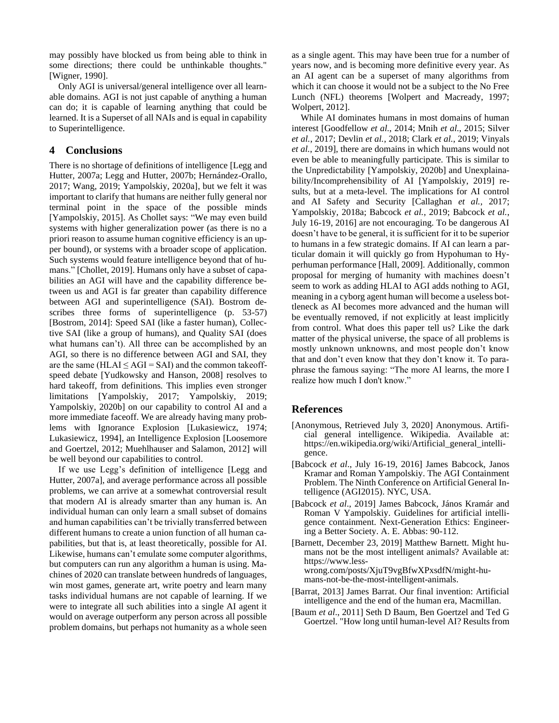may possibly have blocked us from being able to think in some directions; there could be unthinkable thoughts." [Wigner, 1990].

Only AGI is universal/general intelligence over all learnable domains. AGI is not just capable of anything a human can do; it is capable of learning anything that could be learned. It is a Superset of all NAIs and is equal in capability to Superintelligence.

### **4 Conclusions**

There is no shortage of definitions of intelligence [Legg and Hutter, 2007a; Legg and Hutter, 2007b; Hernández-Orallo, 2017; Wang, 2019; Yampolskiy, 2020a], but we felt it was important to clarify that humans are neither fully general nor terminal point in the space of the possible minds [Yampolskiy, 2015]. As Chollet says: "We may even build systems with higher generalization power (as there is no a priori reason to assume human cognitive efficiency is an upper bound), or systems with a broader scope of application. Such systems would feature intelligence beyond that of humans." [Chollet, 2019]. Humans only have a subset of capabilities an AGI will have and the capability difference between us and AGI is far greater than capability difference between AGI and superintelligence (SAI). Bostrom describes three forms of superintelligence (p. 53-57) [Bostrom, 2014]: Speed SAI (like a faster human), Collective SAI (like a group of humans), and Quality SAI (does what humans can't). All three can be accomplished by an AGI, so there is no difference between AGI and SAI, they are the same ( $HLAI \leq AGI = SAI$ ) and the common takeoffspeed debate [Yudkowsky and Hanson, 2008] resolves to hard takeoff, from definitions. This implies even stronger limitations [Yampolskiy, 2017; Yampolskiy, 2019; Yampolskiy, 2020b] on our capability to control AI and a more immediate faceoff. We are already having many problems with Ignorance Explosion [Lukasiewicz, 1974; Lukasiewicz, 1994], an Intelligence Explosion [Loosemore and Goertzel, 2012; Muehlhauser and Salamon, 2012] will be well beyond our capabilities to control.

If we use Legg's definition of intelligence [Legg and Hutter, 2007a], and average performance across all possible problems, we can arrive at a somewhat controversial result that modern AI is already smarter than any human is. An individual human can only learn a small subset of domains and human capabilities can't be trivially transferred between different humans to create a union function of all human capabilities, but that is, at least theoretically, possible for AI. Likewise, humans can't emulate some computer algorithms, but computers can run any algorithm a human is using. Machines of 2020 can translate between hundreds of languages, win most games, generate art, write poetry and learn many tasks individual humans are not capable of learning. If we were to integrate all such abilities into a single AI agent it would on average outperform any person across all possible problem domains, but perhaps not humanity as a whole seen

as a single agent. This may have been true for a number of years now, and is becoming more definitive every year. As an AI agent can be a superset of many algorithms from which it can choose it would not be a subject to the No Free Lunch (NFL) theorems [Wolpert and Macready, 1997; Wolpert, 2012].

While AI dominates humans in most domains of human interest [Goodfellow *et al.*, 2014; Mnih *et al.*, 2015; Silver *et al.*, 2017; Devlin *et al.*, 2018; Clark *et al.*, 2019; Vinyals *et al.*, 2019], there are domains in which humans would not even be able to meaningfully participate. This is similar to the Unpredictability [Yampolskiy, 2020b] and Unexplainability/Incomprehensibility of AI [Yampolskiy, 2019] results, but at a meta-level. The implications for AI control and AI Safety and Security [Callaghan *et al.*, 2017; Yampolskiy, 2018a; Babcock *et al.*, 2019; Babcock *et al.*, July 16-19, 2016] are not encouraging. To be dangerous AI doesn't have to be general, it is sufficient for it to be superior to humans in a few strategic domains. If AI can learn a particular domain it will quickly go from Hypohuman to Hyperhuman performance [Hall, 2009]. Additionally, common proposal for merging of humanity with machines doesn't seem to work as adding HLAI to AGI adds nothing to AGI, meaning in a cyborg agent human will become a useless bottleneck as AI becomes more advanced and the human will be eventually removed, if not explicitly at least implicitly from control. What does this paper tell us? Like the dark matter of the physical universe, the space of all problems is mostly unknown unknowns, and most people don't know that and don't even know that they don't know it. To paraphrase the famous saying: "The more AI learns, the more I realize how much I don't know."

#### **References**

- [Anonymous, Retrieved July 3, 2020] Anonymous. Artificial general intelligence. Wikipedia. Available at: [https://en.wikipedia.org/wiki/Artificial\\_general\\_intelli](https://en.wikipedia.org/wiki/Artificial_general_intelligence)[gence.](https://en.wikipedia.org/wiki/Artificial_general_intelligence)
- [Babcock *et al*., July 16-19, 2016] James Babcock, Janos Kramar and Roman Yampolskiy. The AGI Containment Problem. The Ninth Conference on Artificial General Intelligence (AGI2015). NYC, USA.
- [Babcock *et al*., 2019] James Babcock, János Kramár and Roman V Yampolskiy. Guidelines for artificial intelligence containment. Next-Generation Ethics: Engineering a Better Society. A. E. Abbas: 90-112.
- [Barnett, December 23, 2019] Matthew Barnett. Might humans not be the most intelligent animals? Available at: [https://www.less](https://www.lesswrong.com/posts/XjuT9vgBfwXPxsdfN/might-humans-not-be-the-most-intelligent-animals)[wrong.com/posts/XjuT9vgBfwXPxsdfN/might-hu](https://www.lesswrong.com/posts/XjuT9vgBfwXPxsdfN/might-humans-not-be-the-most-intelligent-animals)[mans-not-be-the-most-intelligent-animals.](https://www.lesswrong.com/posts/XjuT9vgBfwXPxsdfN/might-humans-not-be-the-most-intelligent-animals)
- [Barrat, 2013] James Barrat. Our final invention: Artificial intelligence and the end of the human era, Macmillan.
- [Baum *et al*., 2011] Seth D Baum, Ben Goertzel and Ted G Goertzel. "How long until human-level AI? Results from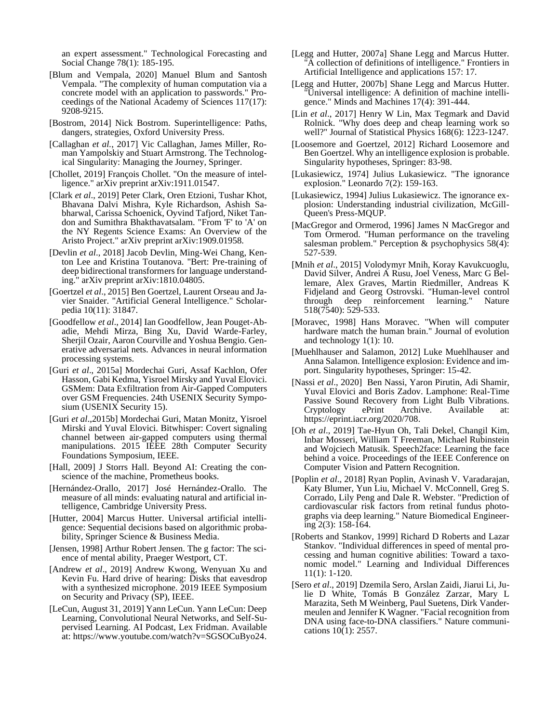an expert assessment." Technological Forecasting and Social Change 78(1): 185-195.

- [Blum and Vempala, 2020] Manuel Blum and Santosh Vempala. "The complexity of human computation via a concrete model with an application to passwords." Proceedings of the National Academy of Sciences 117(17): 9208-9215.
- [Bostrom, 2014] Nick Bostrom. Superintelligence: Paths, dangers, strategies, Oxford University Press.
- [Callaghan *et al.*, 2017] Vic Callaghan, James Miller, Roman Yampolskiy and Stuart Armstrong. The Technological Singularity: Managing the Journey, Springer.
- [Chollet, 2019] François Chollet. "On the measure of intelligence." arXiv preprint arXiv:1911.01547.
- [Clark *et al*., 2019] Peter Clark, Oren Etzioni, Tushar Khot, Bhavana Dalvi Mishra, Kyle Richardson, Ashish Sabharwal, Carissa Schoenick, Oyvind Tafjord, Niket Tandon and Sumithra Bhakthavatsalam. "From 'F' to 'A' on the NY Regents Science Exams: An Overview of the Aristo Project." arXiv preprint arXiv:1909.01958.
- [Devlin *et al*., 2018] Jacob Devlin, Ming-Wei Chang, Kenton Lee and Kristina Toutanova. "Bert: Pre-training of deep bidirectional transformers for language understanding." arXiv preprint arXiv:1810.04805.
- [Goertzel et al., 2015] Ben Goertzel, Laurent Orseau and Javier Snaider. "Artificial General Intelligence." Scholarpedia 10(11): 31847.
- [Goodfellow *et al*., 2014] Ian Goodfellow, Jean Pouget-Abadie, Mehdi Mirza, Bing Xu, David Warde-Farley, Sherjil Ozair, Aaron Courville and Yoshua Bengio. Generative adversarial nets. Advances in neural information processing systems.
- [Guri *et al*., 2015a] Mordechai Guri, Assaf Kachlon, Ofer Hasson, Gabi Kedma, Yisroel Mirsky and Yuval Elovici. GSMem: Data Exfiltration from Air-Gapped Computers over GSM Frequencies. 24th USENIX Security Symposium (USENIX Security 15).
- [Guri *et al*.,2015b] Mordechai Guri, Matan Monitz, Yisroel Mirski and Yuval Elovici. Bitwhisper: Covert signaling channel between air-gapped computers using thermal manipulations. 2015 IEEE 28th Computer Security Foundations Symposium, IEEE.
- [Hall, 2009] J Storrs Hall. Beyond AI: Creating the conscience of the machine, Prometheus books.
- [Hernández-Orallo, 2017] José Hernández-Orallo. The measure of all minds: evaluating natural and artificial intelligence, Cambridge University Press.
- [Hutter, 2004] Marcus Hutter. Universal artificial intelligence: Sequential decisions based on algorithmic probability, Springer Science & Business Media.
- [Jensen, 1998] Arthur Robert Jensen. The g factor: The science of mental ability, Praeger Westport, CT.
- [Andrew *et al*., 2019] Andrew Kwong, Wenyuan Xu and Kevin Fu. Hard drive of hearing: Disks that eavesdrop with a synthesized microphone. 2019 IEEE Symposium on Security and Privacy (SP), IEEE.
- [LeCun, August 31, 2019] Yann LeCun. Yann LeCun: Deep Learning, Convolutional Neural Networks, and Self-Supervised Learning. AI Podcast, Lex Fridman. Available at: [https://www.youtube.com/watch?v=SGSOCuByo24.](https://www.youtube.com/watch?v=SGSOCuByo24)
- [Legg and Hutter, 2007a] Shane Legg and Marcus Hutter. A collection of definitions of intelligence." Frontiers in Artificial Intelligence and applications 157: 17.
- [Legg and Hutter, 2007b] Shane Legg and Marcus Hutter. "Universal intelligence: A definition of machine intelligence." Minds and Machines 17(4): 391-444.
- [Lin *et al*., 2017] Henry W Lin, Max Tegmark and David Rolnick. "Why does deep and cheap learning work so well?" Journal of Statistical Physics 168(6): 1223-1247.
- [Loosemore and Goertzel, 2012] Richard Loosemore and Ben Goertzel. Why an intelligence explosion is probable. Singularity hypotheses, Springer: 83-98.
- [Lukasiewicz, 1974] Julius Lukasiewicz. "The ignorance explosion." Leonardo 7(2): 159-163.
- [Lukasiewicz, 1994] Julius Lukasiewicz. The ignorance explosion: Understanding industrial civilization, McGill-Queen's Press-MQUP.
- [MacGregor and Ormerod, 1996] James N MacGregor and Tom Ormerod. "Human performance on the traveling salesman problem." Perception & psychophysics 58(4): 527-539.
- [Mnih *et al*., 2015] Volodymyr Mnih, Koray Kavukcuoglu, David Silver, Andrei A Rusu, Joel Veness, Marc G Bellemare, Alex Graves, Martin Riedmiller, Andreas K Fidjeland and Georg Ostrovski. "Human-level control through deep reinforcement learning." Nature 518(7540): 529-533.
- [Moravec, 1998] Hans Moravec. "When will computer hardware match the human brain." Journal of evolution and technology 1(1): 10.
- [Muehlhauser and Salamon, 2012] Luke Muehlhauser and Anna Salamon. Intelligence explosion: Evidence and import. Singularity hypotheses, Springer: 15-42.
- [Nassi *et al*., 2020] Ben Nassi, Yaron Pirutin, Adi Shamir, Yuval Elovici and Boris Zadov. Lamphone: Real-Time Passive Sound Recovery from Light Bulb Vibrations. Cryptology ePrint Archive. Available at: [https://eprint.iacr.org/2020/708.](https://eprint.iacr.org/2020/708)
- [Oh *et al*., 2019] Tae-Hyun Oh, Tali Dekel, Changil Kim, Inbar Mosseri, William T Freeman, Michael Rubinstein and Wojciech Matusik. Speech2face: Learning the face behind a voice. Proceedings of the IEEE Conference on Computer Vision and Pattern Recognition.
- [Poplin *et al*., 2018] Ryan Poplin, Avinash V. Varadarajan, Katy Blumer, Yun Liu, Michael V. McConnell, Greg S. Corrado, Lily Peng and Dale R. Webster. "Prediction of cardiovascular risk factors from retinal fundus photographs via deep learning." Nature Biomedical Engineering 2(3): 158-164.
- [Roberts and Stankov, 1999] Richard D Roberts and Lazar Stankov. "Individual differences in speed of mental processing and human cognitive abilities: Toward a taxonomic model." Learning and Individual Differences 11(1): 1-120.
- [Sero *et al*., 2019] Dzemila Sero, Arslan Zaidi, Jiarui Li, Julie D White, Tomás B González Zarzar, Mary L Marazita, Seth M Weinberg, Paul Suetens, Dirk Vandermeulen and Jennifer K Wagner. "Facial recognition from DNA using face-to-DNA classifiers." Nature communications 10(1): 2557.